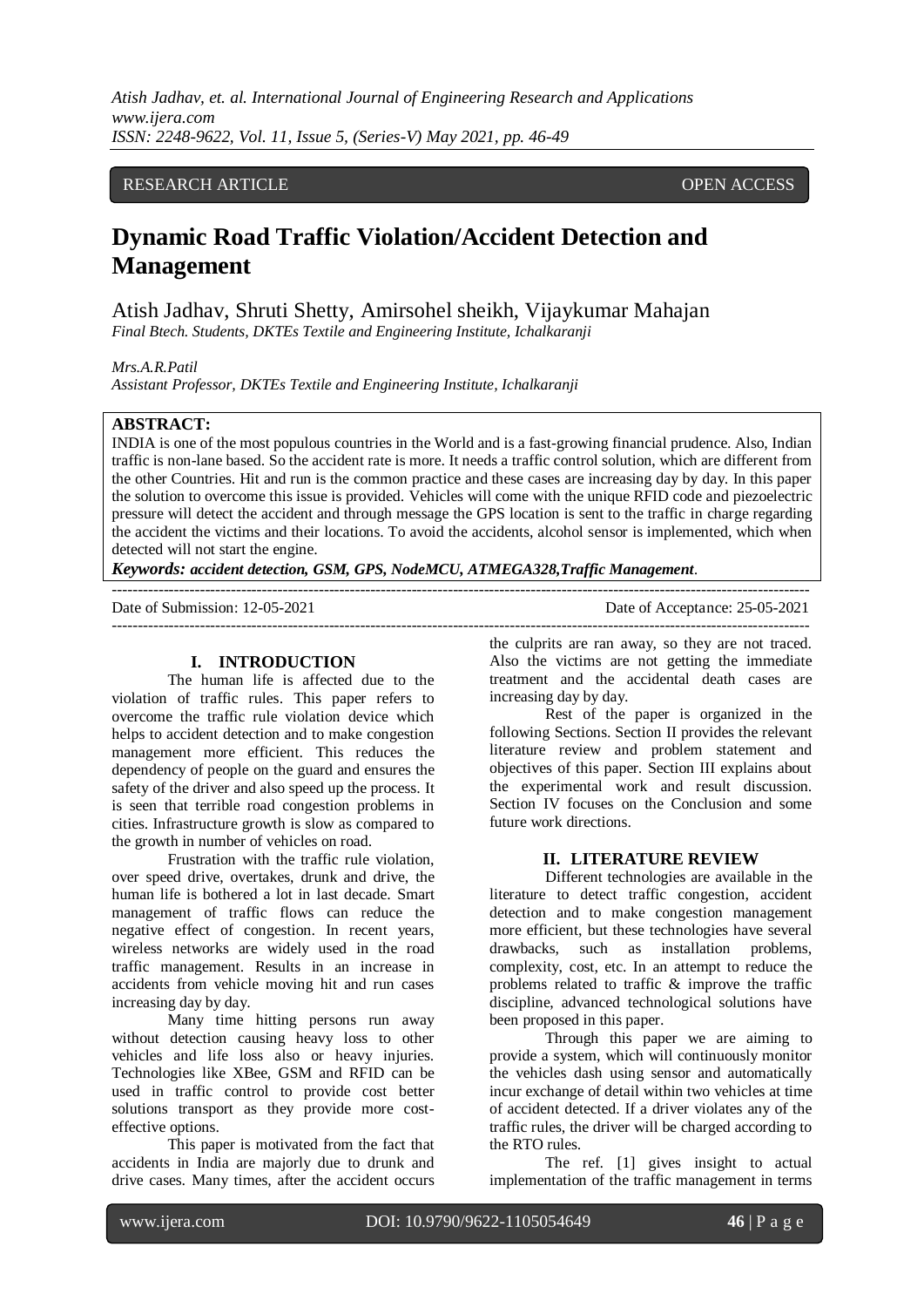*Atish Jadhav, et. al. International Journal of Engineering Research and Applications www.ijera.com ISSN: 2248-9622, Vol. 11, Issue 5, (Series-V) May 2021, pp. 46-49*

## RESEARCH ARTICLE OPEN ACCESS

# **Dynamic Road Traffic Violation/Accident Detection and Management**

Atish Jadhav, Shruti Shetty, Amirsohel sheikh, Vijaykumar Mahajan *Final Btech. Students, DKTEs Textile and Engineering Institute, Ichalkaranji*

#### *Mrs.A.R.Patil*

*Assistant Professor, DKTEs Textile and Engineering Institute, Ichalkaranji*

#### **ABSTRACT:**

INDIA is one of the most populous countries in the World and is a fast-growing financial prudence. Also, Indian traffic is non-lane based. So the accident rate is more. It needs a traffic control solution, which are different from the other Countries. Hit and run is the common practice and these cases are increasing day by day. In this paper the solution to overcome this issue is provided. Vehicles will come with the unique RFID code and piezoelectric pressure will detect the accident and through message the GPS location is sent to the traffic in charge regarding the accident the victims and their locations. To avoid the accidents, alcohol sensor is implemented, which when detected will not start the engine.

---------------------------------------------------------------------------------------------------------------------------------------

 $-1.1$ 

*Keywords: accident detection, GSM, GPS, NodeMCU, ATMEGA328,Traffic Management.*

Date of Submission: 12-05-2021 Date of Acceptance: 25-05-2021

#### **I. INTRODUCTION**

The human life is affected due to the violation of traffic rules. This paper refers to overcome the traffic rule violation device which helps to accident detection and to make congestion management more efficient. This reduces the dependency of people on the guard and ensures the safety of the driver and also speed up the process. It is seen that terrible road congestion problems in cities. Infrastructure growth is slow as compared to the growth in number of vehicles on road.

Frustration with the traffic rule violation, over speed drive, overtakes, drunk and drive, the human life is bothered a lot in last decade. Smart management of traffic flows can reduce the negative effect of congestion. In recent years, wireless networks are widely used in the road traffic management. Results in an increase in accidents from vehicle moving hit and run cases increasing day by day.

Many time hitting persons run away without detection causing heavy loss to other vehicles and life loss also or heavy injuries. Technologies like XBee, GSM and RFID can be used in traffic control to provide cost better solutions transport as they provide more costeffective options.

This paper is motivated from the fact that accidents in India are majorly due to drunk and drive cases. Many times, after the accident occurs the culprits are ran away, so they are not traced. Also the victims are not getting the immediate treatment and the accidental death cases are increasing day by day.

Rest of the paper is organized in the following Sections. Section II provides the relevant literature review and problem statement and objectives of this paper. Section III explains about the experimental work and result discussion. Section IV focuses on the Conclusion and some future work directions.

#### **II. LITERATURE REVIEW**

Different technologies are available in the literature to detect traffic congestion, accident detection and to make congestion management more efficient, but these technologies have several drawbacks, such as installation problems, complexity, cost, etc. In an attempt to reduce the problems related to traffic & improve the traffic discipline, advanced technological solutions have been proposed in this paper.

Through this paper we are aiming to provide a system, which will continuously monitor the vehicles dash using sensor and automatically incur exchange of detail within two vehicles at time of accident detected. If a driver violates any of the traffic rules, the driver will be charged according to the RTO rules.

The ref. [1] gives insight to actual implementation of the traffic management in terms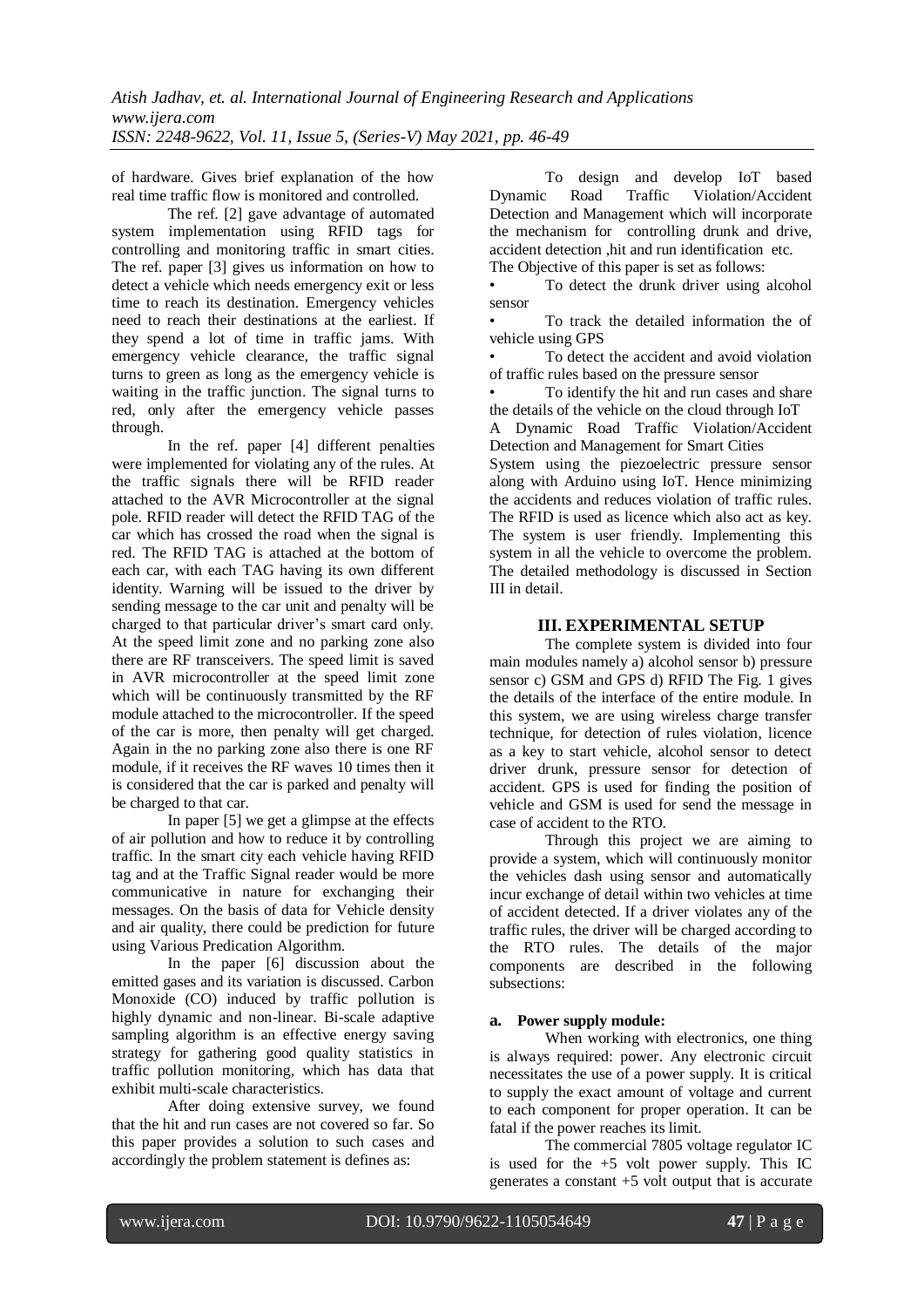of hardware. Gives brief explanation of the how real time traffic flow is monitored and controlled.

The ref. [2] gave advantage of automated system implementation using RFID tags for controlling and monitoring traffic in smart cities. The ref. paper [3] gives us information on how to detect a vehicle which needs emergency exit or less time to reach its destination. Emergency vehicles need to reach their destinations at the earliest. If they spend a lot of time in traffic jams. With emergency vehicle clearance, the traffic signal turns to green as long as the emergency vehicle is waiting in the traffic junction. The signal turns to red, only after the emergency vehicle passes through.

In the ref. paper [4] different penalties were implemented for violating any of the rules. At the traffic signals there will be RFID reader attached to the AVR Microcontroller at the signal pole. RFID reader will detect the RFID TAG of the car which has crossed the road when the signal is red. The RFID TAG is attached at the bottom of each car, with each TAG having its own different identity. Warning will be issued to the driver by sending message to the car unit and penalty will be charged to that particular driver's smart card only. At the speed limit zone and no parking zone also there are RF transceivers. The speed limit is saved in AVR microcontroller at the speed limit zone which will be continuously transmitted by the RF module attached to the microcontroller. If the speed of the car is more, then penalty will get charged. Again in the no parking zone also there is one RF module, if it receives the RF waves 10 times then it is considered that the car is parked and penalty will be charged to that car.

In paper [5] we get a glimpse at the effects of air pollution and how to reduce it by controlling traffic. In the smart city each vehicle having RFID tag and at the Traffic Signal reader would be more communicative in nature for exchanging their messages. On the basis of data for Vehicle density and air quality, there could be prediction for future using Various Predication Algorithm.

In the paper [6] discussion about the emitted gases and its variation is discussed. Carbon Monoxide (CO) induced by traffic pollution is highly dynamic and non-linear. Bi-scale adaptive sampling algorithm is an effective energy saving strategy for gathering good quality statistics in traffic pollution monitoring, which has data that exhibit multi-scale characteristics.

After doing extensive survey, we found that the hit and run cases are not covered so far. So this paper provides a solution to such cases and accordingly the problem statement is defines as:

To design and develop IoT based Dynamic Road Traffic Violation/Accident Detection and Management which will incorporate the mechanism for controlling drunk and drive, accident detection ,hit and run identification etc. The Objective of this paper is set as follows:

To detect the drunk driver using alcohol sensor

• To track the detailed information the of vehicle using GPS

To detect the accident and avoid violation of traffic rules based on the pressure sensor

• To identify the hit and run cases and share the details of the vehicle on the cloud through IoT A Dynamic Road Traffic Violation/Accident

Detection and Management for Smart Cities System using the piezoelectric pressure sensor along with Arduino using IoT. Hence minimizing the accidents and reduces violation of traffic rules. The RFID is used as licence which also act as key. The system is user friendly. Implementing this system in all the vehicle to overcome the problem. The detailed methodology is discussed in Section III in detail.

### **III. EXPERIMENTAL SETUP**

The complete system is divided into four main modules namely a) alcohol sensor b) pressure sensor c) GSM and GPS d) RFID The Fig. 1 gives the details of the interface of the entire module. In this system, we are using wireless charge transfer technique, for detection of rules violation, licence as a key to start vehicle, alcohol sensor to detect driver drunk, pressure sensor for detection of accident. GPS is used for finding the position of vehicle and GSM is used for send the message in case of accident to the RTO.

Through this project we are aiming to provide a system, which will continuously monitor the vehicles dash using sensor and automatically incur exchange of detail within two vehicles at time of accident detected. If a driver violates any of the traffic rules, the driver will be charged according to the RTO rules. The details of the major components are described in the following subsections:

#### **a. Power supply module:**

When working with electronics, one thing is always required: power. Any electronic circuit necessitates the use of a power supply. It is critical to supply the exact amount of voltage and current to each component for proper operation. It can be fatal if the power reaches its limit.

The commercial 7805 voltage regulator IC is used for the  $+5$  volt power supply. This IC generates a constant +5 volt output that is accurate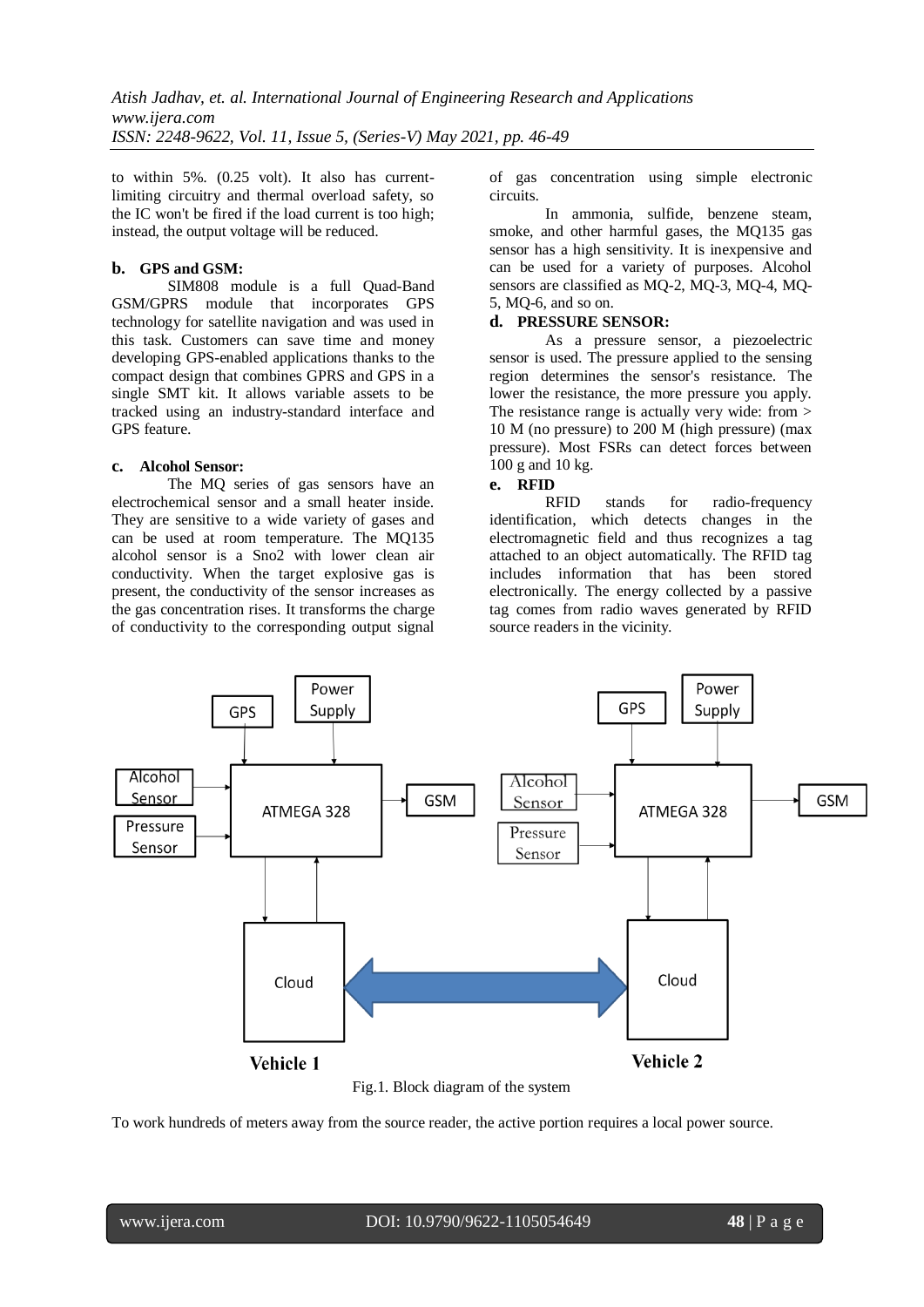to within 5%. (0.25 volt). It also has currentlimiting circuitry and thermal overload safety, so the IC won't be fired if the load current is too high; instead, the output voltage will be reduced.

#### **b. GPS and GSM:**

SIM808 module is a full Quad-Band GSM/GPRS module that incorporates GPS technology for satellite navigation and was used in this task. Customers can save time and money developing GPS-enabled applications thanks to the compact design that combines GPRS and GPS in a single SMT kit. It allows variable assets to be tracked using an industry-standard interface and GPS feature.

### **c. Alcohol Sensor:**

The MQ series of gas sensors have an electrochemical sensor and a small heater inside. They are sensitive to a wide variety of gases and can be used at room temperature. The MQ135 alcohol sensor is a Sno2 with lower clean air conductivity. When the target explosive gas is present, the conductivity of the sensor increases as the gas concentration rises. It transforms the charge of conductivity to the corresponding output signal

of gas concentration using simple electronic circuits.

In ammonia, sulfide, benzene steam, smoke, and other harmful gases, the MQ135 gas sensor has a high sensitivity. It is inexpensive and can be used for a variety of purposes. Alcohol sensors are classified as MQ-2, MQ-3, MQ-4, MQ-5, MQ-6, and so on.

### **d. PRESSURE SENSOR:**

As a pressure sensor, a piezoelectric sensor is used. The pressure applied to the sensing region determines the sensor's resistance. The lower the resistance, the more pressure you apply. The resistance range is actually very wide: from > 10 M (no pressure) to 200 M (high pressure) (max pressure). Most FSRs can detect forces between 100 g and 10 kg.

# **e. RFID**

stands for radio-frequency identification, which detects changes in the electromagnetic field and thus recognizes a tag attached to an object automatically. The RFID tag includes information that has been stored electronically. The energy collected by a passive tag comes from radio waves generated by RFID source readers in the vicinity.



To work hundreds of meters away from the source reader, the active portion requires a local power source.